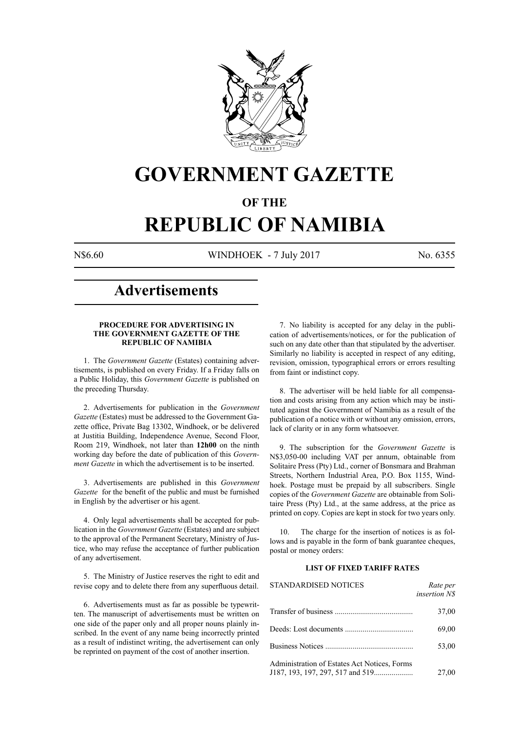

# **GOVERNMENT GAZETTE**

# **OF THE**

# **REPUBLIC OF NAMIBIA**

N\$6.60 WINDHOEK - 7 July 2017 No. 6355

# **Advertisements**

# **PROCEDURE FOR ADVERTISING IN THE GOVERNMENT GAZETTE OF THE REPUBLIC OF NAMIBIA**

1. The *Government Gazette* (Estates) containing advertisements, is published on every Friday. If a Friday falls on a Public Holiday, this *Government Gazette* is published on the preceding Thursday.

2. Advertisements for publication in the *Government Gazette* (Estates) must be addressed to the Government Gazette office, Private Bag 13302, Windhoek, or be delivered at Justitia Building, Independence Avenue, Second Floor, Room 219, Windhoek, not later than **12h00** on the ninth working day before the date of publication of this *Government Gazette* in which the advertisement is to be inserted.

3. Advertisements are published in this *Government Gazette* for the benefit of the public and must be furnished in English by the advertiser or his agent.

4. Only legal advertisements shall be accepted for publication in the *Government Gazette* (Estates) and are subject to the approval of the Permanent Secretary, Ministry of Justice, who may refuse the acceptance of further publication of any advertisement.

5. The Ministry of Justice reserves the right to edit and revise copy and to delete there from any superfluous detail.

6. Advertisements must as far as possible be typewritten. The manuscript of advertisements must be written on one side of the paper only and all proper nouns plainly inscribed. In the event of any name being incorrectly printed as a result of indistinct writing, the advertisement can only be reprinted on payment of the cost of another insertion.

7. No liability is accepted for any delay in the publication of advertisements/notices, or for the publication of such on any date other than that stipulated by the advertiser. Similarly no liability is accepted in respect of any editing, revision, omission, typographical errors or errors resulting from faint or indistinct copy.

8. The advertiser will be held liable for all compensation and costs arising from any action which may be instituted against the Government of Namibia as a result of the publication of a notice with or without any omission, errors, lack of clarity or in any form whatsoever.

9. The subscription for the *Government Gazette* is N\$3,050-00 including VAT per annum, obtainable from Solitaire Press (Pty) Ltd., corner of Bonsmara and Brahman Streets, Northern Industrial Area, P.O. Box 1155, Windhoek. Postage must be prepaid by all subscribers. Single copies of the *Government Gazette* are obtainable from Solitaire Press (Pty) Ltd., at the same address, at the price as printed on copy. Copies are kept in stock for two years only.

10. The charge for the insertion of notices is as follows and is payable in the form of bank guarantee cheques, postal or money orders:

# **LIST OF FIXED TARIFF RATES**

| <b>STANDARDISED NOTICES</b>                  | Rate per<br><i>insertion NS</i> |
|----------------------------------------------|---------------------------------|
|                                              | 37,00                           |
|                                              | 69,00                           |
|                                              | 53,00                           |
| Administration of Estates Act Notices, Forms | 27,00                           |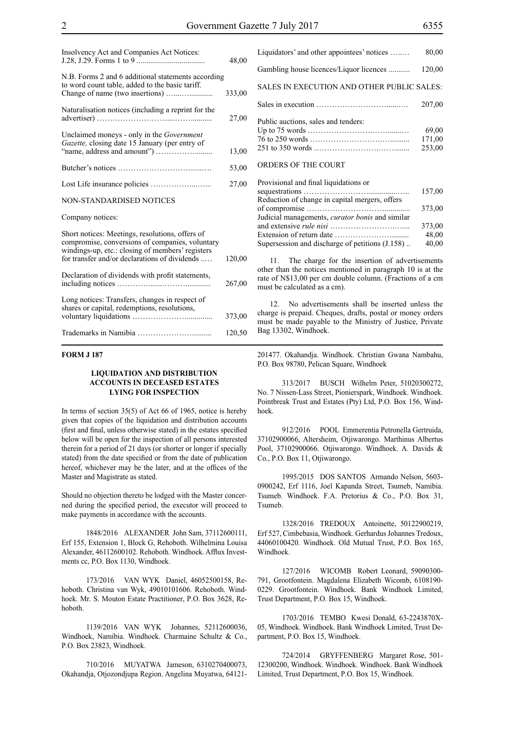| Insolvency Act and Companies Act Notices:                                                                                                                                                               | 48,00  |
|---------------------------------------------------------------------------------------------------------------------------------------------------------------------------------------------------------|--------|
| N.B. Forms 2 and 6 additional statements according<br>to word count table, added to the basic tariff.                                                                                                   | 333,00 |
| Naturalisation notices (including a reprint for the                                                                                                                                                     | 27,00  |
| Unclaimed moneys - only in the Government<br>Gazette, closing date 15 January (per entry of                                                                                                             | 13,00  |
|                                                                                                                                                                                                         | 53,00  |
|                                                                                                                                                                                                         | 27,00  |
| NON-STANDARDISED NOTICES                                                                                                                                                                                |        |
| Company notices:                                                                                                                                                                                        |        |
| Short notices: Meetings, resolutions, offers of<br>compromise, conversions of companies, voluntary<br>windings-up, etc.: closing of members' registers<br>for transfer and/or declarations of dividends | 120,00 |
| Declaration of dividends with profit statements,                                                                                                                                                        | 267,00 |
| Long notices: Transfers, changes in respect of<br>shares or capital, redemptions, resolutions,                                                                                                          | 373,00 |
|                                                                                                                                                                                                         | 120,50 |

# **FORM J 187**

# **LIQUIDATION AND DISTRIBUTION ACCOUNTS IN DECEASED ESTATES LYING FOR INSPECTION**

In terms of section 35(5) of Act 66 of 1965, notice is hereby given that copies of the liquidation and distribution accounts (first and final, unless otherwise stated) in the estates specified below will be open for the inspection of all persons interested therein for a period of 21 days (or shorter or longer if specially stated) from the date specified or from the date of publication hereof, whichever may be the later, and at the offices of the Master and Magistrate as stated.

Should no objection thereto be lodged with the Master concerned during the specified period, the executor will proceed to make payments in accordance with the accounts.

1848/2016 ALEXANDER John Sam, 37112600111, Erf 155, Extension 1, Block G, Rehoboth. Wilhelmina Louisa Alexander, 46112600102. Rehoboth. Windhoek. Afflux Investments cc, P.O. Box 1130, Windhoek.

173/2016 VAN WYK Daniel, 46052500158, Rehoboth. Christina van Wyk, 49010101606. Rehoboth. Windhoek. Mr. S. Mouton Estate Practitioner, P.O. Box 3628, Rehoboth.

1139/2016 VAN WYK Johannes, 52112600036, Windhoek, Namibia. Windhoek. Charmaine Schultz & Co., P.O. Box 23823, Windhoek.

710/2016 MUYATWA Jameson, 6310270400073, Okahandja, Otjozondjupa Region. Angelina Muyatwa, 64121Liquidators' and other appointees' notices …..… 80,00 Gambling house licences/Liquor licences ........... 120,00 SALES IN EXECUTION AND OTHER PUBLIC SALES: Sales in execution ………………………......…. 207,00 Public auctions, sales and tenders: Up to 75 words …………………….…….......… 69,00 76 to 250 words ……………………….….......... 171,00 251 to 350 words …………………….……........ 253,00 ORDERS OF THE COURT Provisional and final liquidations or

| Provisional and final liquidations or                  |        |
|--------------------------------------------------------|--------|
|                                                        | 157,00 |
| Reduction of change in capital mergers, offers         |        |
|                                                        | 373,00 |
| Judicial managements, <i>curator bonis</i> and similar |        |
|                                                        | 373,00 |
|                                                        | 48,00  |
| Supersession and discharge of petitions (J.158)        | 40,00  |
|                                                        |        |

11. The charge for the insertion of advertisements other than the notices mentioned in paragraph 10 is at the rate of N\$13,00 per cm double column. (Fractions of a cm must be calculated as a cm).

12. No advertisements shall be inserted unless the charge is prepaid. Cheques, drafts, postal or money orders must be made payable to the Ministry of Justice, Private Bag 13302, Windhoek.

201477. Okahandja. Windhoek. Christian Gwana Nambahu, P.O. Box 98780, Pelican Square, Windhoek

313/2017 BUSCH Wilhelm Peter, 51020300272, No. 7 Nissen-Lass Street, Pionierspark, Windhoek. Windhoek. Pointbreak Trust and Estates (Pty) Ltd, P.O. Box 156, Windhoek.

912/2016 POOL Emmerentia Petronella Gertruida, 37102900066, Altersheim, Otjiwarongo. Marthinus Albertus Pool, 37102900066. Otjiwarongo. Windhoek. A. Davids & Co., P.O. Box 11, Otjiwarongo.

1995/2015 DOS SANTOS Armando Nelson, 5603- 0900242, Erf 1116, Joel Kapanda Street, Tsumeb, Namibia. Tsumeb. Windhoek. F.A. Pretorius & Co., P.O. Box 31, Tsumeb.

1328/2016 TREDOUX Antoinette, 50122900219, Erf 527, Cimbebasia, Windhoek. Gerhardus Johannes Tredoux, 44060100420. Windhoek. Old Mutual Trust, P.O. Box 165, Windhoek.

127/2016 WICOMB Robert Leonard, 59090300- 791, Grootfontein. Magdalena Elizabeth Wicomb, 6108190- 0229. Grootfontein. Windhoek. Bank Windhoek Limited, Trust Department, P.O. Box 15, Windhoek.

1703/2016 TEMBO Kwesi Donald, 63-2243870X-05, Windhoek. Windhoek. Bank Windhoek Limited, Trust Department, P.O. Box 15, Windhoek.

724/2014 GRYFFENBERG Margaret Rose, 501- 12300200, Windhoek. Windhoek. Windhoek. Bank Windhoek Limited, Trust Department, P.O. Box 15, Windhoek.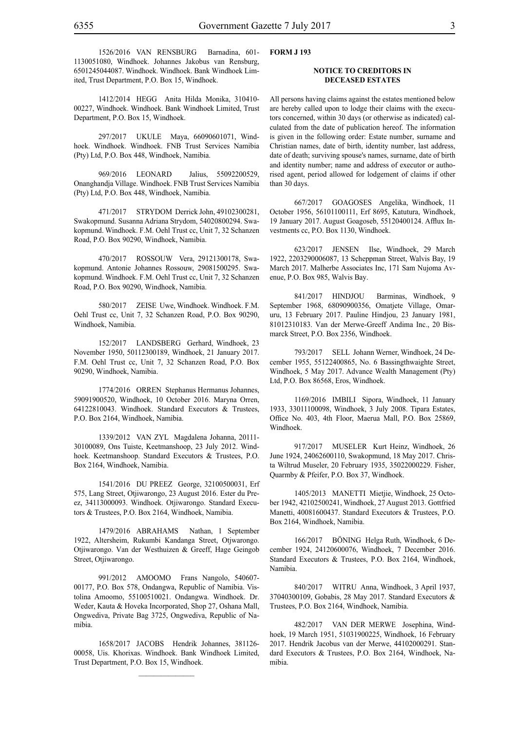1526/2016 VAN RENSBURG Barnadina, 601- 1130051080, Windhoek. Johannes Jakobus van Rensburg, 6501245044087. Windhoek. Windhoek. Bank Windhoek Limited, Trust Department, P.O. Box 15, Windhoek.

1412/2014 HEGG Anita Hilda Monika, 310410- 00227, Windhoek. Windhoek. Bank Windhoek Limited, Trust Department, P.O. Box 15, Windhoek.

297/2017 UKULE Maya, 66090601071, Windhoek. Windhoek. Windhoek. FNB Trust Services Namibia (Pty) Ltd, P.O. Box 448, Windhoek, Namibia.

969/2016 LEONARD Jalius, 55092200529, Onanghandja Village. Windhoek. FNB Trust Services Namibia (Pty) Ltd, P.O. Box 448, Windhoek, Namibia.

471/2017 STRYDOM Derrick John, 49102300281, Swakopmund. Susanna Adriana Strydom, 54020800294. Swakopmund. Windhoek. F.M. Oehl Trust cc, Unit 7, 32 Schanzen Road, P.O. Box 90290, Windhoek, Namibia.

470/2017 ROSSOUW Vera, 29121300178, Swakopmund. Antonie Johannes Rossouw, 29081500295. Swakopmund. Windhoek. F.M. Oehl Trust cc, Unit 7, 32 Schanzen Road, P.O. Box 90290, Windhoek, Namibia.

580/2017 ZEISE Uwe, Windhoek. Windhoek. F.M. Oehl Trust cc, Unit 7, 32 Schanzen Road, P.O. Box 90290, Windhoek, Namibia.

152/2017 LANDSBERG Gerhard, Windhoek, 23 November 1950, 50112300189, Windhoek, 21 January 2017. F.M. Oehl Trust cc, Unit 7, 32 Schanzen Road, P.O. Box 90290, Windhoek, Namibia.

1774/2016 ORREN Stephanus Hermanus Johannes, 59091900520, Windhoek, 10 October 2016. Maryna Orren, 64122810043. Windhoek. Standard Executors & Trustees, P.O. Box 2164, Windhoek, Namibia.

1339/2012 VAN ZYL Magdalena Johanna, 20111- 30100089, Ons Tuiste, Keetmanshoop, 23 July 2012. Windhoek. Keetmanshoop. Standard Executors & Trustees, P.O. Box 2164, Windhoek, Namibia.

1541/2016 DU PREEZ George, 32100500031, Erf 575, Lang Street, Otjiwarongo, 23 August 2016. Ester du Preez, 34113000093. Windhoek. Otjiwarongo. Standard Executors & Trustees, P.O. Box 2164, Windhoek, Namibia.

1479/2016 ABRAHAMS Nathan, 1 September 1922, Altersheim, Rukumbi Kandanga Street, Otjwarongo. Otjiwarongo. Van der Westhuizen & Greeff, Hage Geingob Street, Otjiwarongo.

991/2012 AMOOMO Frans Nangolo, 540607- 00177, P.O. Box 578, Ondangwa, Republic of Namibia. Vistolina Amoomo, 55100510021. Ondangwa. Windhoek. Dr. Weder, Kauta & Hoveka Incorporated, Shop 27, Oshana Mall, Ongwediva, Private Bag 3725, Ongwediva, Republic of Namibia.

1658/2017 JACOBS Hendrik Johannes, 381126- 00058, Uis. Khorixas. Windhoek. Bank Windhoek Limited, Trust Department, P.O. Box 15, Windhoek.

# **FORM J 193**

# **NOTICE TO CREDITORS IN DECEASED ESTATES**

All persons having claims against the estates mentioned below are hereby called upon to lodge their claims with the executors concerned, within 30 days (or otherwise as indicated) calculated from the date of publication hereof. The information is given in the following order: Estate number, surname and Christian names, date of birth, identity number, last address, date of death; surviving spouse's names, surname, date of birth and identity number; name and address of executor or authorised agent, period allowed for lodgement of claims if other than 30 days.

667/2017 GOAGOSES Angelika, Windhoek, 11 October 1956, 56101100111, Erf 8695, Katutura, Windhoek, 19 January 2017. August Goagoseb, 55120400124. Afflux Investments cc, P.O. Box 1130, Windhoek.

623/2017 JENSEN Ilse, Windhoek, 29 March 1922, 2203290006087, 13 Scheppman Street, Walvis Bay, 19 March 2017. Malherbe Associates Inc, 171 Sam Nujoma Avenue, P.O. Box 985, Walvis Bay.

841/2017 HINDJOU Barminas, Windhoek, 9 September 1968, 68090900356, Omatjete Village, Omaruru, 13 February 2017. Pauline Hindjou, 23 January 1981, 81012310183. Van der Merwe-Greeff Andima Inc., 20 Bismarck Street, P.O. Box 2356, Windhoek.

793/2017 SELL Johann Werner, Windhoek, 24 December 1955, 55122400865, No. 6 Bassingthwaighte Street, Windhoek, 5 May 2017. Advance Wealth Management (Pty) Ltd, P.O. Box 86568, Eros, Windhoek.

1169/2016 IMBILI Sipora, Windhoek, 11 January 1933, 33011100098, Windhoek, 3 July 2008. Tipara Estates, Office No. 403, 4th Floor, Maerua Mall, P.O. Box 25869, Windhoek.

917/2017 MUSELER Kurt Heinz, Windhoek, 26 June 1924, 24062600110, Swakopmund, 18 May 2017. Christa Wiltrud Museler, 20 February 1935, 35022000229. Fisher, Quarmby & Pfeifer, P.O. Box 37, Windhoek.

1405/2013 MANETTI Mietjie, Windhoek, 25 October 1942, 42102500241, Windhoek, 27 August 2013. Gottfried Manetti, 40081600437. Standard Executors & Trustees, P.O. Box 2164, Windhoek, Namibia.

166/2017 BÖNING Helga Ruth, Windhoek, 6 December 1924, 24120600076, Windhoek, 7 December 2016. Standard Executors & Trustees, P.O. Box 2164, Windhoek, Namibia.

840/2017 WITRU Anna, Windhoek, 3 April 1937, 37040300109, Gobabis, 28 May 2017. Standard Executors & Trustees, P.O. Box 2164, Windhoek, Namibia.

482/2017 VAN DER MERWE Josephina, Windhoek, 19 March 1951, 51031900225, Windhoek, 16 February 2017. Hendrik Jacobus van der Merwe, 44102000291. Standard Executors & Trustees, P.O. Box 2164, Windhoek, Namibia.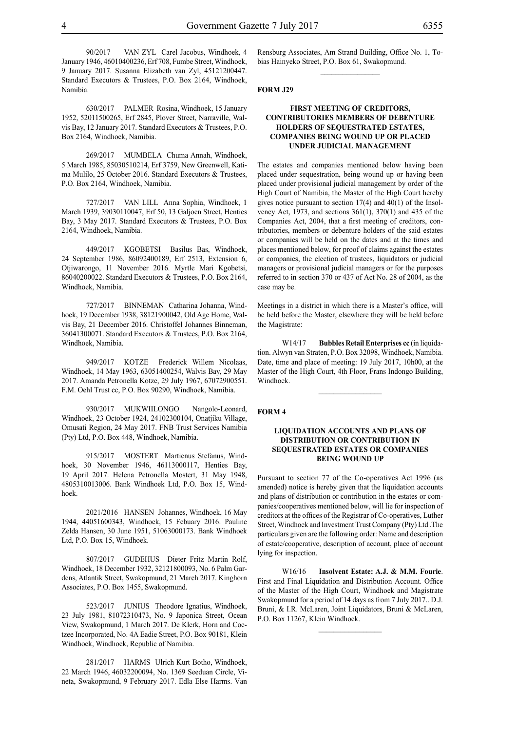90/2017 VAN ZYL Carel Jacobus, Windhoek, 4 January 1946, 46010400236, Erf 708, Fumbe Street, Windhoek, 9 January 2017. Susanna Elizabeth van Zyl, 45121200447. Standard Executors & Trustees, P.O. Box 2164, Windhoek, Namibia.

630/2017 PALMER Rosina, Windhoek, 15 January 1952, 52011500265, Erf 2845, Plover Street, Narraville, Walvis Bay, 12 January 2017. Standard Executors & Trustees, P.O. Box 2164, Windhoek, Namibia.

269/2017 MUMBELA Chuma Annah, Windhoek, 5 March 1985, 85030510214, Erf 3759, New Greenwell, Katima Mulilo, 25 October 2016. Standard Executors & Trustees, P.O. Box 2164, Windhoek, Namibia.

727/2017 VAN LILL Anna Sophia, Windhoek, 1 March 1939, 39030110047, Erf 50, 13 Galjoen Street, Henties Bay, 3 May 2017. Standard Executors & Trustees, P.O. Box 2164, Windhoek, Namibia.

449/2017 KGOBETSI Basilus Bas, Windhoek, 24 September 1986, 86092400189, Erf 2513, Extension 6, Otjiwarongo, 11 November 2016. Myrtle Mari Kgobetsi, 86040200022. Standard Executors & Trustees, P.O. Box 2164, Windhoek, Namibia.

727/2017 BINNEMAN Catharina Johanna, Windhoek, 19 December 1938, 38121900042, Old Age Home, Walvis Bay, 21 December 2016. Christoffel Johannes Binneman, 36041300071. Standard Executors & Trustees, P.O. Box 2164, Windhoek, Namibia.

949/2017 KOTZE Frederick Willem Nicolaas, Windhoek, 14 May 1963, 63051400254, Walvis Bay, 29 May 2017. Amanda Petronella Kotze, 29 July 1967, 67072900551. F.M. Oehl Trust cc, P.O. Box 90290, Windhoek, Namibia.

930/2017 MUKWIILONGO Nangolo-Leonard, Windhoek, 23 October 1924, 24102300104, Onatjiku Village, Omusati Region, 24 May 2017. FNB Trust Services Namibia (Pty) Ltd, P.O. Box 448, Windhoek, Namibia.

915/2017 MOSTERT Martienus Stefanus, Windhoek, 30 November 1946, 46113000117, Henties Bay, 19 April 2017. Helena Petronella Mostert, 31 May 1948, 4805310013006. Bank Windhoek Ltd, P.O. Box 15, Windhoek.

2021/2016 HANSEN Johannes, Windhoek, 16 May 1944, 44051600343, Windhoek, 15 Febuary 2016. Pauline Zelda Hansen, 30 June 1951, 51063000173. Bank Windhoek Ltd, P.O. Box 15, Windhoek.

807/2017 GUDEHUS Dieter Fritz Martin Rolf, Windhoek, 18 December 1932, 32121800093, No. 6 Palm Gardens, Atlantik Street, Swakopmund, 21 March 2017. Kinghorn Associates, P.O. Box 1455, Swakopmund.

523/2017 JUNIUS Theodore Ignatius, Windhoek, 23 July 1981, 81072310473, No. 9 Japonica Street, Ocean View, Swakopmund, 1 March 2017. De Klerk, Horn and Coetzee Incorporated, No. 4A Eadie Street, P.O. Box 90181, Klein Windhoek, Windhoek, Republic of Namibia.

281/2017 HARMS Ulrich Kurt Botho, Windhoek, 22 March 1946, 46032200094, No. 1369 Seeduan Circle, Vineta, Swakopmund, 9 February 2017. Edla Else Harms. Van Rensburg Associates, Am Strand Building, Office No. 1, Tobias Hainyeko Street, P.O. Box 61, Swakopmund.  $\frac{1}{2}$ 

# **FORM J29**

# **FIRST MEETING OF CREDITORS, CONTRIBUTORIES MEMBERS OF DEBENTURE HOLDERS OF SEQUESTRATED ESTATES, COMPANIES BEING WOUND UP OR PLACED UNDER JUDICIAL MANAGEMENT**

The estates and companies mentioned below having been placed under sequestration, being wound up or having been placed under provisional judicial management by order of the High Court of Namibia, the Master of the High Court hereby gives notice pursuant to section 17(4) and 40(1) of the Insolvency Act, 1973, and sections 361(1), 370(1) and 435 of the Companies Act, 2004, that a first meeting of creditors, contributories, members or debenture holders of the said estates or companies will be held on the dates and at the times and places mentioned below, for proof of claims against the estates or companies, the election of trustees, liquidators or judicial managers or provisional judicial managers or for the purposes referred to in section 370 or 437 of Act No. 28 of 2004, as the case may be.

Meetings in a district in which there is a Master's office, will be held before the Master, elsewhere they will be held before the Magistrate:

W14/17 **Bubbles Retail Enterprises cc** (in liquidation. Alwyn van Straten, P.O. Box 32098, Windhoek, Namibia. Date, time and place of meeting: 19 July 2017, 10h00, at the Master of the High Court, 4th Floor, Frans Indongo Building, Windhoek.

#### **FORM 4**

#### **LIQUIDATION ACCOUNTS AND PLANS OF DISTRIBUTION OR CONTRIBUTION IN SEQUESTRATED ESTATES OR COMPANIES BEING WOUND UP**

Pursuant to section 77 of the Co-operatives Act 1996 (as amended) notice is hereby given that the liquidation accounts and plans of distribution or contribution in the estates or companies/cooperatives mentioned below, will lie for inspection of creditors at the offices of the Registrar of Co-operatives, Luther Street, Windhoek and Investment Trust Company (Pty) Ltd .The particulars given are the following order: Name and description of estate/cooperative, description of account, place of account lying for inspection.

W16/16 **Insolvent Estate: A.J. & M.M. Fourie**. First and Final Liquidation and Distribution Account. Office of the Master of the High Court, Windhoek and Magistrate Swakopmund for a period of 14 days as from 7 July 2017.. D.J. Bruni, & I.R. McLaren, Joint Liquidators, Bruni & McLaren, P.O. Box 11267, Klein Windhoek.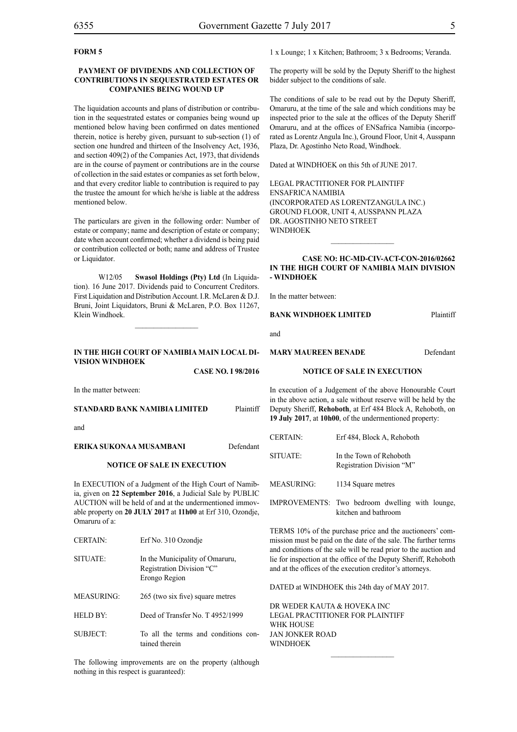# **FORM 5**

# **PAYMENT OF DIVIDENDS AND COLLECTION OF CONTRIBUTIONS IN SEQUESTRATED ESTATES OR COMPANIES BEING WOUND UP**

The liquidation accounts and plans of distribution or contribution in the sequestrated estates or companies being wound up mentioned below having been confirmed on dates mentioned therein, notice is hereby given, pursuant to sub-section (1) of section one hundred and thirteen of the Insolvency Act, 1936, and section 409(2) of the Companies Act, 1973, that dividends are in the course of payment or contributions are in the course of collection in the said estates or companies as set forth below, and that every creditor liable to contribution is required to pay the trustee the amount for which he/she is liable at the address mentioned below.

The particulars are given in the following order: Number of estate or company; name and description of estate or company; date when account confirmed; whether a dividend is being paid or contribution collected or both; name and address of Trustee or Liquidator.

W12/05 **Swasol Holdings (Pty) Ltd** (In Liquidation). 16 June 2017. Dividends paid to Concurrent Creditors. First Liquidation and Distribution Account. I.R. McLaren & D.J. Bruni, Joint Liquidators, Bruni & McLaren, P.O. Box 11267, Klein Windhoek.

# **IN THE HIGH COURT OF NAMIBIA MAIN LOCAL DI-VISION WINDHOEK**

**Case NO. I 98/2016**

In the matter between:

**STANDARD BANK NAMIBIA LIMITED** Plaintiff

and

#### **ERIKA SUKONAA MUSAMBANI** Defendant

#### **NOTICE OF SALE IN EXECUTION**

In EXECUTION of a Judgment of the High Court of Namibia, given on **22 September 2016**, a Judicial Sale by PUBLIC AUCTION will be held of and at the undermentioned immovable property on **20 JULY 2017** at **11h00** at Erf 310, Ozondje, Omaruru of a:

| <b>CERTAIN:</b>   | Erf No. 310 Ozondje                                                           |
|-------------------|-------------------------------------------------------------------------------|
| SITUATE:          | In the Municipality of Omaruru,<br>Registration Division "C"<br>Erongo Region |
| <b>MEASURING:</b> | 265 (two six five) square metres                                              |
| <b>HELD BY:</b>   | Deed of Transfer No. T 4952/1999                                              |
| SUBJECT:          | To all the terms and conditions con-<br>tained therein                        |

The following improvements are on the property (although nothing in this respect is guaranteed):

1 x Lounge; 1 x Kitchen; Bathroom; 3 x Bedrooms; Veranda.

The property will be sold by the Deputy Sheriff to the highest bidder subject to the conditions of sale.

The conditions of sale to be read out by the Deputy Sheriff, Omaruru, at the time of the sale and which conditions may be inspected prior to the sale at the offices of the Deputy Sheriff Omaruru, and at the offices of ENSafrica Namibia (incorporated as Lorentz Angula Inc.), Ground Floor, Unit 4, Ausspann Plaza, Dr. Agostinho Neto Road, Windhoek.

Dated at WINDHOEK on this 5th of JUNE 2017.

Legal Practitioner for Plaintiff ENSafrica Namibia (incorporated as LorentzAngula Inc.) Ground Floor, Unit 4, Ausspann Plaza Dr. Agostinho Neto Street WINDHOEK

# **CASE NO: HC-MD-CIV-ACT-CON-2016/02662 IN THE HIGH COURT OF NAMIBIA MAIN DIVISION - WINDHOEK**

 $\frac{1}{2}$ 

In the matter between:

**BANK WINDHOEK LIMITED** Plaintiff

and

#### **MARY MAUREEN BENADE** Defendant

#### **NOTICE OF SALE IN EXECUTION**

In execution of a Judgement of the above Honourable Court in the above action, a sale without reserve will be held by the Deputy Sheriff, **Rehoboth**, at Erf 484 Block A, Rehoboth, on **19 July 2017**, at **10h00**, of the undermentioned property:

| UENTAIN.          | EIT 404, DIOCK A, REHODOLII                          |
|-------------------|------------------------------------------------------|
| SITUATE:          | In the Town of Rehoboth<br>Registration Division "M" |
| <b>MEASURING:</b> | 1134 Square metres                                   |
| 88 ALIBRA 1889    | ۰. ۱                                                 |

CERTAIN: Erf 484, Block A, Rehoboth

IMPROVEMENTS: Two bedroom dwelling with lounge, kitchen and bathroom

TERMS 10% of the purchase price and the auctioneers' commission must be paid on the date of the sale. The further terms and conditions of the sale will be read prior to the auction and lie for inspection at the office of the Deputy Sheriff, Rehoboth and at the offices of the execution creditor's attorneys.

 $\frac{1}{2}$ 

DATED at WINDHOEK this 24th day of MAY 2017.

DR WEDER KAUTA & HOVEKA INC Legal Practitioner for Plaintiff WHK HOUSE Jan Jonker Road WINDHOEK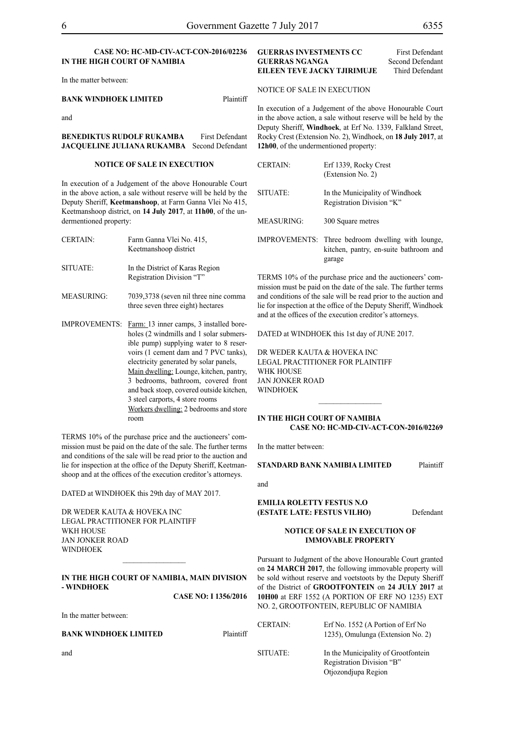# **CASE NO: HC-MD-CIV-ACT-CON-2016/02236 IN THE HIGH COURT OF NAMIBIA**

In the matter between:

# **BANK WINDHOEK LIMITED** Plaintiff

and

**BENEDIKTUS RUDOLF RUKAMBA** First Defendant **JACQUELINE JULIANA RUKAMBA** Second Defendant

#### **NOTICE OF SALE IN EXECUTION**

In execution of a Judgement of the above Honourable Court in the above action, a sale without reserve will be held by the Deputy Sheriff, **Keetmanshoop**, at Farm Ganna Vlei No 415, Keetmanshoop district, on **14 July 2017**, at **11h00**, of the undermentioned property:

| <b>CERTAIN:</b>      | Farm Ganna Vlei No. 415,<br>Keetmanshoop district                                                                                                                                                                                                                                                                                                                                                                                  |
|----------------------|------------------------------------------------------------------------------------------------------------------------------------------------------------------------------------------------------------------------------------------------------------------------------------------------------------------------------------------------------------------------------------------------------------------------------------|
| SITUATE:             | In the District of Karas Region<br>Registration Division "T"                                                                                                                                                                                                                                                                                                                                                                       |
| <b>MEASURING:</b>    | 7039,3738 (seven nil three nine comma<br>three seven three eight) hectares                                                                                                                                                                                                                                                                                                                                                         |
| <b>IMPROVEMENTS:</b> | Farm: 13 inner camps, 3 installed bore-<br>holes (2 windmills and 1 solar submers-<br>ible pump) supplying water to 8 reser-<br>voirs (1 cement dam and 7 PVC tanks),<br>electricity generated by solar panels,<br>Main dwelling: Lounge, kitchen, pantry,<br>3 bedrooms, bathroom, covered front<br>and back stoep, covered outside kitchen,<br>3 steel carports, 4 store rooms<br>Workers dwelling: 2 bedrooms and store<br>room |

TERMS 10% of the purchase price and the auctioneers' commission must be paid on the date of the sale. The further terms and conditions of the sale will be read prior to the auction and lie for inspection at the office of the Deputy Sheriff, Keetmanshoop and at the offices of the execution creditor's attorneys.

DATED at WINDHOEK this 29th day of MAY 2017.

DR WEDER KAUTA & HOVEKA INC Legal Practitioner for Plaintiff WKH HOUSE Jan Jonker Road WINDHOEK

# **IN THE HIGH COURT OF NAMIBIA, MAIN DIVISION - WINDHOEK**

**CASE NO: I 1356/2016**

In the matter between:

#### **BANK WINDHOEK LIMITED** Plaintiff

# **GUERRAS INVESTMENTS CC** First Defendant<br> **GUERRAS NGANGA** Second Defendant **GUERRAS NGANGA** Second Defendant<br> **EILEEN TEVE JACKY TJIRIMUJE** Third Defendant **EILEEN TEVE JACKY TJIRIMUJE**

NOTICE OF SALE IN EXECUTION

In execution of a Judgement of the above Honourable Court in the above action, a sale without reserve will be held by the Deputy Sheriff, **Windhoek**, at Erf No. 1339, Falkland Street, Rocky Crest (Extension No. 2), Windhoek, on **18 July 2017**, at **12h00**, of the undermentioned property:

| <b>CERTAIN:</b> | Erf 1339, Rocky Crest<br>(Extension No. 2)                                                            |
|-----------------|-------------------------------------------------------------------------------------------------------|
| SITUATE:        | In the Municipality of Windhoek<br>Registration Division "K"                                          |
| MEASURING:      | 300 Square metres                                                                                     |
|                 | IMPROVEMENTS: Three bedroom dwelling with lounge,<br>kitchen, pantry, en-suite bathroom and<br>garage |

TERMS 10% of the purchase price and the auctioneers' commission must be paid on the date of the sale. The further terms and conditions of the sale will be read prior to the auction and lie for inspection at the office of the Deputy Sheriff, Windhoek and at the offices of the execution creditor's attorneys.

DATED at WINDHOEK this 1st day of JUNE 2017.

DR WEDER KAUTA & HOVEKA INC Legal Practitioner for Plaintiff WHK HOUSE Jan Jonker Road WINDHOEK

#### **IN THE HIGH COURT OF NAMIBIA CASE NO: HC-MD-CIV-ACT-CON-2016/02269**

 $\frac{1}{2}$ 

In the matter between:

**STANDARD BANK NAMIBIA LIMITED** Plaintiff

and

**EMILIA ROLETTY FESTUS N.O (ESTATE LATE: FESTUS VILHO)** Defendant

#### **NOTICE OF SALE IN EXECUTION OF IMMOVABLE PROPERTY**

Pursuant to Judgment of the above Honourable Court granted on **24 MARCH 2017**, the following immovable property will be sold without reserve and voetstoots by the Deputy Sheriff of the District of **GROOTFONTEIN** on **24 JULY 2017** at **10H00** at ERF 1552 (A PORTION OF ERF NO 1235) EXT NO. 2, GROOTFONTEIN, REPUBLIC OF NAMIBIA

| <b>CERTAIN:</b> | Erf No. 1552 (A Portion of Erf No.<br>1235), Omulunga (Extension No. 2)                 |
|-----------------|-----------------------------------------------------------------------------------------|
| SITUATE:        | In the Municipality of Grootfontein<br>Registration Division "B"<br>Otjozondjupa Region |

and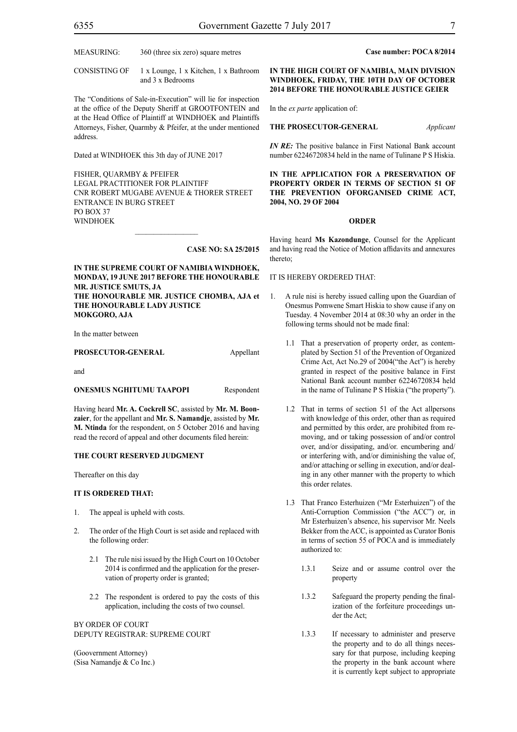CONSISTING OF 1 x Lounge, 1 x Kitchen, 1 x Bathroom and 3 x Bedrooms

The "Conditions of Sale-in-Execution" will lie for inspection at the office of the Deputy Sheriff at GROOTFONTEIN and at the Head Office of Plaintiff at WINDHOEK and Plaintiffs Attorneys, Fisher, Quarmby & Pfeifer, at the under mentioned address.

Dated at WINDHOEK this 3th day of JUNE 2017

FISHER, QUARMBY & PFEIFER LEGAL PRACTITIONER FOR Plaintiff Cnr Robert Mugabe Avenue & Thorer Street Entrance in Burg Street PO BOX 37 WINDHOEK

#### **CASE NO: SA 25/2015**

# **IN THE SUPREME COURT OF NAMIBIA WINDHOEK, MONDAY, 19 JUNE 2017 BEFORE THE HONOURABLE MR. JUSTICE SMUTS, JA THE HONOURABLE MR. JUSTICE CHOMBA, AJA et**

**THE HONOURABLE LADY JUSTICE MOKGORO, AJA**

In the matter between

#### PROSECUTOR-GENERAL Appellant

and

# **ONESMUS NGHITUMU TAAPOPI** Respondent

Having heard **Mr. A. Cockrell SC**, assisted by **Mr. M. Boonzaier**, for the appellant and **Mr. S. Namandje**, assisted by **Mr. M. Ntinda** for the respondent, on 5 October 2016 and having read the record of appeal and other documents filed herein:

#### **THE COURT RESERVED JUDGMENT**

Thereafter on this day

#### **IT IS ORDERED THAT:**

- 1. The appeal is upheld with costs.
- 2. The order of the High Court is set aside and replaced with the following order:
	- 2.1 The rule nisi issued by the High Court on 10 October 2014 is confirmed and the application for the preservation of property order is granted;
	- 2.2 The respondent is ordered to pay the costs of this application, including the costs of two counsel.

BY ORDER OF COURT DEPUTY REGISTRAR: SUPREME COURT

(Goovernment Attorney) (Sisa Namandje & Co Inc.)

# **Case number: POCA 8/2014**

# **IN THE HIGH COURT OF NAMIBIA, MAIN DIVISION WINDHOEK, FRIDAY, THE 10TH DAY OF OCTOBER 2014 BEFORE THE HONOURABLE JUSTICE GEIER**

In the *ex parte* application of:

# **THE PROSECUTOR-GENERAL** *Applicant*

*IN RE*: The positive balance in First National Bank account number 62246720834 held in the name of Tulinane P S Hiskia.

**IN THE APPLICATION FOR A PRESERVATION OF PROPERTY ORDER IN TERMS OF SECTION 51 OF THE PREVENTION OFORGANISED CRIME ACT, 2004, NO. 29 OF 2004**

#### **ORDER**

Having heard **Ms Kazondunge**, Counsel for the Applicant and having read the Notice of Motion affidavits and annexures thereto;

#### IT IS HEREBY ORDERED THAT:

- 1. A rule nisi is hereby issued calling upon the Guardian of Onesmus Pomwene Smart Hiskia to show cause if any on Tuesday. 4 November 2014 at 08:30 why an order in the following terms should not be made final:
	- 1.1 That a preservation of property order, as contemplated by Section 51 of the Prevention of Organized Crime Act, Act No.29 of 2004("the Act") is hereby granted in respect of the positive balance in First National Bank account number 62246720834 held in the name of Tulinane P S Hiskia ("the property").
	- 1.2 That in terms of section 51 of the Act allpersons with knowledge of this order, other than as required and permitted by this order, are prohibited from removing, and or taking possession of and/or control over, and/or dissipating, and/or. encumbering and/ or interfering with, and/or diminishing the value of, and/or attaching or selling in execution, and/or dealing in any other manner with the property to which this order relates.
	- 1.3 That Franco Esterhuizen ("Mr Esterhuizen") of the Anti-Corruption Commission ("the ACC") or, in Mr Esterhuizen's absence, his supervisor Mr. Neels Bekker from the ACC, is appointed as Curator Bonis in terms of section 55 of POCA and is immediately authorized to:
		- 1.3.1 Seize and or assume control over the property
		- 1.3.2 Safeguard the property pending the finalization of the forfeiture proceedings under the Act;
		- 1.3.3 If necessary to administer and preserve the property and to do all things necessary for that purpose, including keeping the property in the bank account where it is currently kept subject to appropriate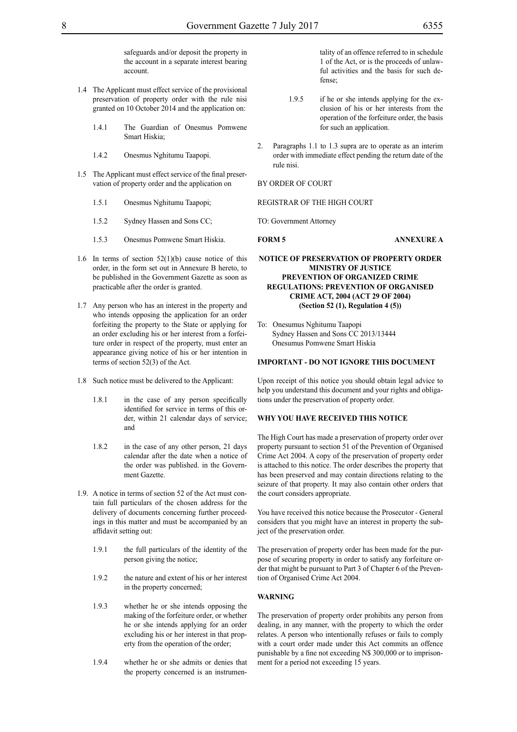safeguards and/or deposit the property in the account in a separate interest bearing account.

- 1.4 The Applicant must effect service of the provisional preservation of property order with the rule nisi granted on 10 October 2014 and the application on:
	- 1.4.1 The Guardian of Onesmus Pomwene Smart Hiskia;
	- 1.4.2 Onesmus Nghitumu Taapopi.
- 1.5 The Applicant must effect service of the final preservation of property order and the application on
	- 1.5.1 Onesmus Nghitumu Taapopi;
	- 1.5.2 Sydney Hassen and Sons CC;
	- 1.5.3 Onesmus Pomwene Smart Hiskia.
- 1.6 In terms of section  $52(1)(b)$  cause notice of this order, in the form set out in Annexure B hereto, to be published in the Government Gazette as soon as practicable after the order is granted.
- 1.7 Any person who has an interest in the property and who intends opposing the application for an order forfeiting the property to the State or applying for an order excluding his or her interest from a forfeiture order in respect of the property, must enter an appearance giving notice of his or her intention in terms of section 52(3) of the Act.
- 1.8 Such notice must be delivered to the Applicant:
	- 1.8.1 in the case of any person specifically identified for service in terms of this order, within 21 calendar days of service; and
	- 1.8.2 in the case of any other person, 21 days calendar after the date when a notice of the order was published. in the Government Gazette.
- 1.9. A notice in terms of section 52 of the Act must contain full particulars of the chosen address for the delivery of documents concerning further proceedings in this matter and must be accompanied by an affidavit setting out:
	- 1.9.1 the full particulars of the identity of the person giving the notice;
	- 1.9.2 the nature and extent of his or her interest in the property concerned;
	- 1.9.3 whether he or she intends opposing the making of the forfeiture order, or whether he or she intends applying for an order excluding his or her interest in that property from the operation of the order;
	- 1.9.4 whether he or she admits or denies that the property concerned is an instrumen-

tality of an offence referred to in schedule 1 of the Act, or is the proceeds of unlawful activities and the basis for such defense;

- 1.9.5 if he or she intends applying for the exclusion of his or her interests from the operation of the forfeiture order, the basis for such an application.
- 2. Paragraphs 1.1 to 1.3 supra are to operate as an interim order with immediate effect pending the return date of the rule nisi.

BY ORDER OF COURT

REGISTRAR OF THE HIGH COURT

TO: Government Attorney

**FORM 5 ANNEXURE A**

# **NOTICE OF PRESERVATION OF PROPERTY ORDER MINISTRY OF JUSTICE PREVENTION OF ORGANIZED CRIME REGULATIONS: PREVENTION OF ORGANISED CRIME ACT, 2004 (ACT 29 OF 2004) (Section 52 (1), Regulation 4 (5))**

To: Onesumus Nghitumu Taapopi Sydney Hassen and Sons CC 2013/13444 Onesumus Pomwene Smart Hiskia

#### **IMPORTANT** *-* **DO NOT IGNORE THIS DOCUMENT**

Upon receipt of this notice you should obtain legal advice to help you understand this document and your rights and obligations under the preservation of property order.

# **WHY YOU HAVE RECEIVED THIS NOTICE**

The High Court has made a preservation of property order over property pursuant to section 51 of the Prevention of Organised Crime Act 2004. A copy of the preservation of property order is attached to this notice. The order describes the property that has been preserved and may contain directions relating to the seizure of that property. It may also contain other orders that the court considers appropriate.

You have received this notice because the Prosecutor *-* General considers that you might have an interest in property the subject of the preservation order.

The preservation of property order has been made for the purpose of securing property in order to satisfy any forfeiture order that might be pursuant to Part 3 of Chapter 6 of the Prevention of Organised Crime Act 2004.

#### **WARNING**

The preservation of property order prohibits any person from dealing, in any manner, with the property to which the order relates. A person who intentionally refuses or fails to comply with a court order made under this Act commits an offence punishable by a fine not exceeding N\$ 300,000 or to imprisonment for a period not exceeding 15 years.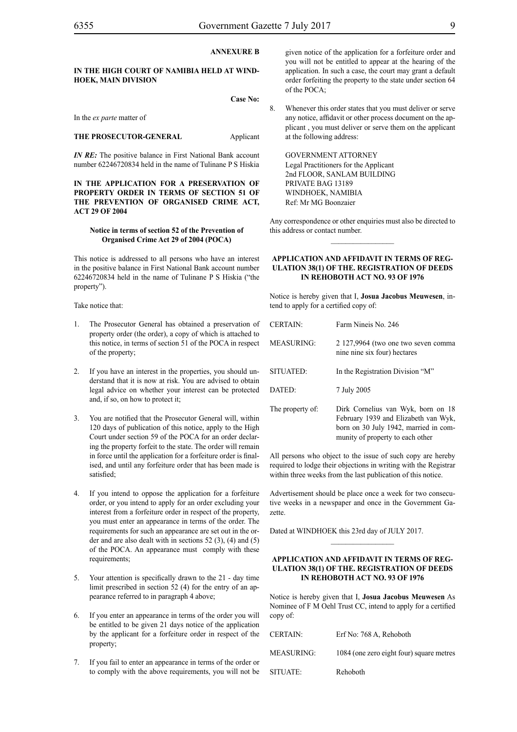# **ANNEXURE B**

# **IN THE HIGH COURT OF NAMIBIA HELD AT WIND-HOEK, MAIN DIVISION**

**Case No:**

In the *ex parte* matter of

#### **THE PROSECUTOR-GENERAL** Applicant

*IN RE:* The positive balance in First National Bank account number 62246720834 held in the name of Tulinane P S Hiskia

# **IN THE APPLICATION FOR A PRESERVATION OF PROPERTY ORDER IN TERMS OF SECTION 51 OF THE PREVENTION OF ORGANISED CRIME ACT, ACT 29 OF 2004**

#### **Notice in terms of section 52 of the Prevention of Organised Crime Act 29 of 2004 (POCA)**

This notice is addressed to all persons who have an interest in the positive balance in First National Bank account number 62246720834 held in the name of Tulinane P S Hiskia ("the property").

Take notice that:

- 1. The Prosecutor General has obtained a preservation of property order (the order), a copy of which is attached to this notice, in terms of section 51 of the POCA in respect of the property;
- 2. If you have an interest in the properties, you should understand that it is now at risk. You are advised to obtain legal advice on whether your interest can be protected and, if so, on how to protect it;
- 3. You are notified that the Prosecutor General will, within 120 days of publication of this notice, apply to the High Court under section 59 of the POCA for an order declaring the property forfeit to the state. The order will remain in force until the application for a forfeiture order is finalised, and until any forfeiture order that has been made is satisfied;
- 4. If you intend to oppose the application for a forfeiture order, or you intend to apply for an order excluding your interest from a forfeiture order in respect of the property, you must enter an appearance in terms of the order. The requirements for such an appearance are set out in the order and are also dealt with in sections 52 (3), (4) and (5) of the POCA. An appearance must comply with these requirements;
- 5. Your attention is specifically drawn to the 21 *-* day time limit prescribed in section 52 (4) for the entry of an appearance referred to in paragraph 4 above;
- 6. If you enter an appearance in terms of the order you will be entitled to be given 21 days notice of the application by the applicant for a forfeiture order in respect of the property;
- 7. If you fail to enter an appearance in terms of the order or to comply with the above requirements, you will not be

given notice of the application for a forfeiture order and you will not be entitled to appear at the hearing of the application. In such a case, the court may grant a default order forfeiting the property to the state under section 64 of the POCA;

8. Whenever this order states that you must deliver or serve any notice, affidavit or other process document on the applicant , you must deliver or serve them on the applicant at the following address:

GOVERNMENT ATTORNEY Legal Practitioners for the Applicant 2nd FLOOR, SANLAM BUILDING PRIVATE BAG 13189 WINDHOEK, NAMIBIA Ref: Mr MG Boonzaier

Any correspondence or other enquiries must also be directed to this address or contact number.  $\frac{1}{2}$ 

#### **APPLICATION AND AFFIDAVIT IN TERMS OF REG-ULATION 38(1) OF THE. REGISTRATION OF DEEDS IN REHOBOTH ACT NO. 93 OF 1976**

Notice is hereby given that I, **Josua Jacobus Meuwesen**, intend to apply for a certified copy of:

| <b>CERTAIN:</b>   | Farm Nineis No. 246                                                                                                                                     |
|-------------------|---------------------------------------------------------------------------------------------------------------------------------------------------------|
| <b>MEASURING:</b> | 2 127,9964 (two one two seven comma<br>nine nine six four) hectares                                                                                     |
| SITUATED:         | In the Registration Division "M"                                                                                                                        |
| DATED:            | 7 July 2005                                                                                                                                             |
| The property of:  | Dirk Cornelius van Wyk, born on 18<br>February 1939 and Elizabeth van Wyk,<br>born on 30 July 1942, married in com-<br>munity of property to each other |

All persons who object to the issue of such copy are hereby required to lodge their objections in writing with the Registrar within three weeks from the last publication of this notice.

Advertisement should be place once a week for two consecutive weeks in a newspaper and once in the Government Gazette.

Dated at WINDHOEK this 23rd day of JULY 2017.

# **APPLICATION AND AFFIDAVIT IN TERMS OF REG-ULATION 38(1) OF THE. REGISTRATION OF DEEDS IN REHOBOTH ACT NO. 93 OF 1976**

 $\frac{1}{2}$ 

Notice is hereby given that I, **Josua Jacobus Meuwesen** As Nominee of F M Oehl Trust CC, intend to apply for a certified copy of:

| <b>CERTAIN:</b>   | Erf No: 768 A, Rehoboth                  |
|-------------------|------------------------------------------|
| <b>MEASURING:</b> | 1084 (one zero eight four) square metres |
| SITUATE:          | Rehoboth                                 |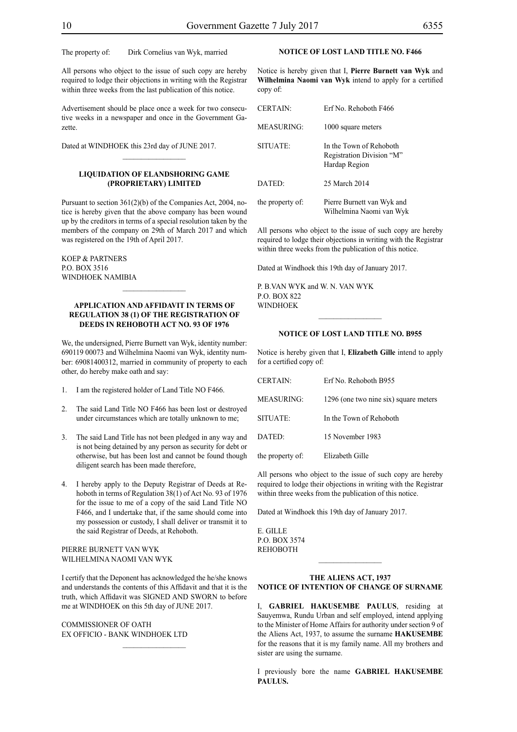The property of: Dirk Cornelius van Wyk, married

All persons who object to the issue of such copy are hereby required to lodge their objections in writing with the Registrar within three weeks from the last publication of this notice.

Advertisement should be place once a week for two consecutive weeks in a newspaper and once in the Government Gazette.

Dated at WINDHOEK this 23rd day of JUNE 2017.

# **LIQUIDATION OF ELANDSHORING GAME (PROPRIETARY) LIMITED**

 $\frac{1}{2}$ 

Pursuant to section 361(2)(b) of the Companies Act, 2004, notice is hereby given that the above company has been wound up by the creditors in terms of a special resolution taken by the members of the company on 29th of March 2017 and which was registered on the 19th of April 2017.

Koep & Partners P.O. Box 3516 Windhoek Namibia

# **APPLICATION AND AFFIDAVIT IN TERMS OF REGULATION 38 (1) OF THE REGISTRATION OF DEEDS IN REHOBOTH ACT NO. 93 OF 1976**

 $\frac{1}{2}$ 

We, the undersigned, Pierre Burnett van Wyk, identity number: 690119 00073 and Wilhelmina Naomi van Wyk, identity number: 69081400312, married in community of property to each other, do hereby make oath and say:

- 1. I am the registered holder of Land Title NO F466.
- 2. The said Land Title NO F466 has been lost or destroyed under circumstances which are totally unknown to me;
- 3. The said Land Title has not been pledged in any way and is not being detained by any person as security for debt or otherwise, but has been lost and cannot be found though diligent search has been made therefore,
- 4. I hereby apply to the Deputy Registrar of Deeds at Rehoboth in terms of Regulation 38(1) of Act No. 93 of 1976 for the issue to me of a copy of the said Land Title NO F466, and I undertake that, if the same should come into my possession or custody, I shall deliver or transmit it to the said Registrar of Deeds, at Rehoboth.

# PIERRE BURNETT VAN WYK WILHELMINA NAOMI VAN WYK

I certify that the Deponent has acknowledged the he/she knows and understands the contents of this Affidavit and that it is the truth, which Affidavit was SIGNED AND SWORN to before me at WINDHOEK on this 5th day of JUNE 2017.

COMMISSIONER OF OATH EX OFFICIO - BANK WINDHOEK LTD

# **NOTICE OF LOST LAND TITLE NO. F466**

Notice is hereby given that I, **Pierre Burnett van Wyk** and **Wilhelmina Naomi van Wyk** intend to apply for a certified copy of:

| <b>CERTAIN</b>    | Erf No Rehoboth F466                                                  |
|-------------------|-----------------------------------------------------------------------|
| <b>MEASURING:</b> | 1000 square meters                                                    |
| SITUATE:          | In the Town of Rehoboth<br>Registration Division "M"<br>Hardap Region |
| DATED:            | 25 March 2014                                                         |
| the property of:  | Pierre Burnett van Wyk and<br>Wilhelmina Naomi van Wyk                |

All persons who object to the issue of such copy are hereby required to lodge their objections in writing with the Registrar within three weeks from the publication of this notice.

Dated at Windhoek this 19th day of January 2017.

P. B.van Wyk and W. N. van Wyk p.o. box 822 **WINDHOEK** 

#### **NOTICE OF LOST LAND TITLE NO. B955**

 $\frac{1}{2}$ 

Notice is hereby given that I, **Elizabeth Gille** intend to apply for a certified copy of:

| <b>CERTAIN:</b>  | Erf No. Rehoboth B955                 |
|------------------|---------------------------------------|
| MEASURING:       | 1296 (one two nine six) square meters |
| SITUATE:         | In the Town of Rehoboth               |
| DATED:           | 15 November 1983                      |
| the property of: | Elizabeth Gille                       |

All persons who object to the issue of such copy are hereby required to lodge their objections in writing with the Registrar within three weeks from the publication of this notice.

Dated at Windhoek this 19th day of January 2017.

E. Gille  $P \cap ROY 3574$ **REHOBOTH** 

#### **THE ALIENS ACT, 1937 NOTICE OF INTENTION OF CHANGE OF SURNAME**

I, **gabriel hakusembe paulus**, residing at Sauyemwa, Rundu Urban and self employed, intend applying to the Minister of Home Affairs for authority under section 9 of the Aliens Act, 1937, to assume the surname **hakusembe** for the reasons that it is my family name. All my brothers and sister are using the surname.

I previously bore the name **gabriel hakusembe paulus.**